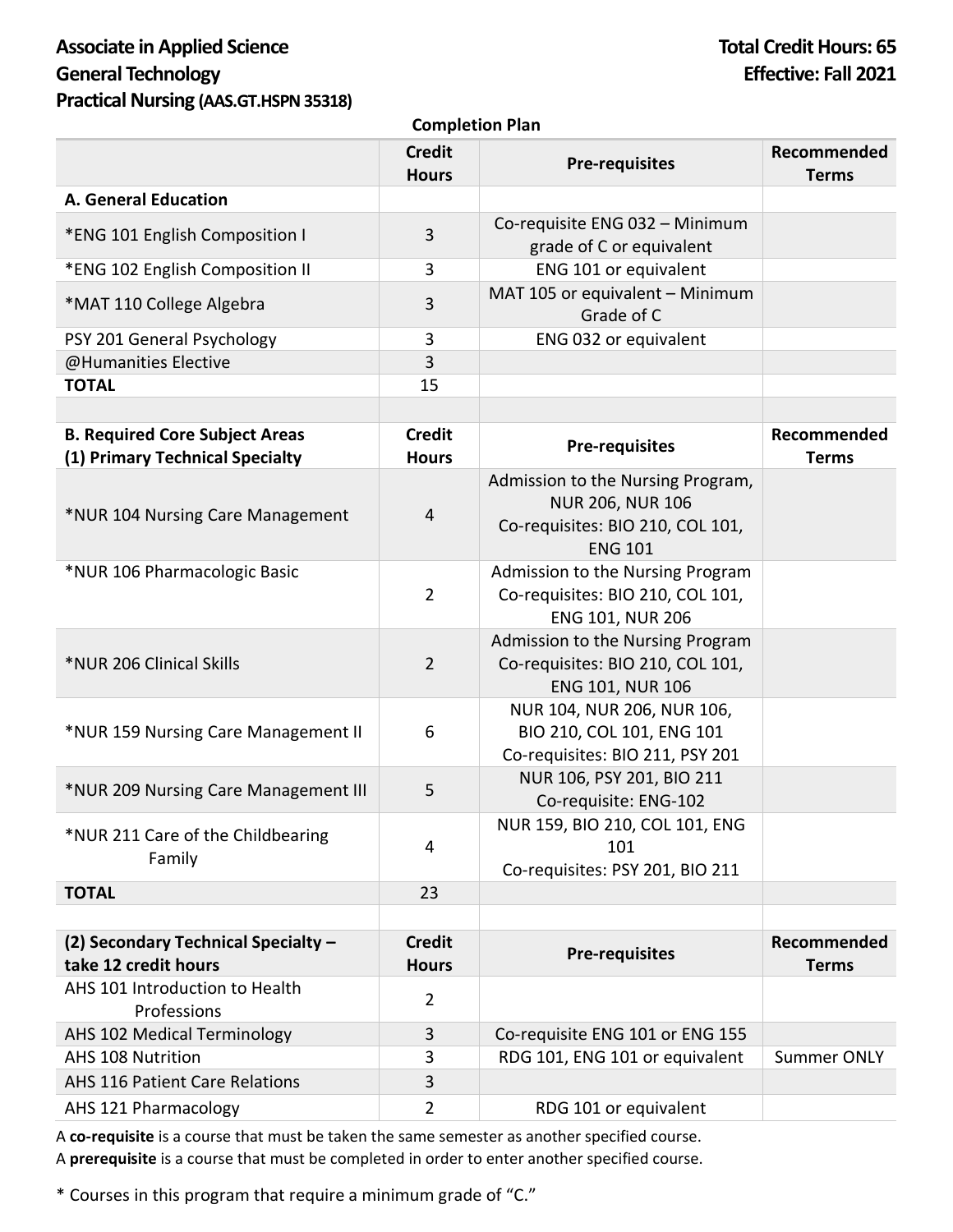## Associate in Applied Science **Total Credit Hours: 65 General Technology Effective: Fall 2021 Practical Nursing (AAS.GT.HSPN35318)**

| <b>Completion Plan</b>                                                   |                               |                                                                                                                    |                             |  |  |
|--------------------------------------------------------------------------|-------------------------------|--------------------------------------------------------------------------------------------------------------------|-----------------------------|--|--|
|                                                                          | <b>Credit</b><br><b>Hours</b> | <b>Pre-requisites</b>                                                                                              | Recommended<br><b>Terms</b> |  |  |
| A. General Education                                                     |                               |                                                                                                                    |                             |  |  |
| *ENG 101 English Composition I                                           | $\overline{3}$                | Co-requisite ENG 032 - Minimum<br>grade of C or equivalent                                                         |                             |  |  |
| *ENG 102 English Composition II                                          | 3                             | ENG 101 or equivalent                                                                                              |                             |  |  |
| *MAT 110 College Algebra                                                 | 3                             | MAT 105 or equivalent - Minimum<br>Grade of C                                                                      |                             |  |  |
| PSY 201 General Psychology                                               | 3                             | ENG 032 or equivalent                                                                                              |                             |  |  |
| @Humanities Elective                                                     | 3                             |                                                                                                                    |                             |  |  |
| <b>TOTAL</b>                                                             | 15                            |                                                                                                                    |                             |  |  |
|                                                                          |                               |                                                                                                                    |                             |  |  |
| <b>B. Required Core Subject Areas</b><br>(1) Primary Technical Specialty | <b>Credit</b><br><b>Hours</b> | <b>Pre-requisites</b>                                                                                              | Recommended<br><b>Terms</b> |  |  |
| *NUR 104 Nursing Care Management                                         | $\overline{4}$                | Admission to the Nursing Program,<br><b>NUR 206, NUR 106</b><br>Co-requisites: BIO 210, COL 101,<br><b>ENG 101</b> |                             |  |  |
| *NUR 106 Pharmacologic Basic                                             | $\overline{2}$                | Admission to the Nursing Program<br>Co-requisites: BIO 210, COL 101,<br>ENG 101, NUR 206                           |                             |  |  |
| *NUR 206 Clinical Skills                                                 | $\overline{2}$                | Admission to the Nursing Program<br>Co-requisites: BIO 210, COL 101,<br>ENG 101, NUR 106                           |                             |  |  |
| *NUR 159 Nursing Care Management II                                      | 6                             | NUR 104, NUR 206, NUR 106,<br>BIO 210, COL 101, ENG 101<br>Co-requisites: BIO 211, PSY 201                         |                             |  |  |
| *NUR 209 Nursing Care Management III                                     | 5                             | NUR 106, PSY 201, BIO 211<br>Co-requisite: ENG-102                                                                 |                             |  |  |
| *NUR 211 Care of the Childbearing<br>Family                              | 4                             | NUR 159, BIO 210, COL 101, ENG<br>101<br>Co-requisites: PSY 201, BIO 211                                           |                             |  |  |
| <b>TOTAL</b>                                                             | 23                            |                                                                                                                    |                             |  |  |
|                                                                          |                               |                                                                                                                    |                             |  |  |
| (2) Secondary Technical Specialty -<br>take 12 credit hours              | <b>Credit</b><br><b>Hours</b> | <b>Pre-requisites</b>                                                                                              | Recommended<br><b>Terms</b> |  |  |
| AHS 101 Introduction to Health<br>Professions                            | $\overline{2}$                |                                                                                                                    |                             |  |  |
| AHS 102 Medical Terminology                                              | 3                             | Co-requisite ENG 101 or ENG 155                                                                                    |                             |  |  |
| <b>AHS 108 Nutrition</b>                                                 | 3                             | RDG 101, ENG 101 or equivalent                                                                                     | <b>Summer ONLY</b>          |  |  |
| AHS 116 Patient Care Relations                                           | 3                             |                                                                                                                    |                             |  |  |
| AHS 121 Pharmacology                                                     | $\overline{2}$                | RDG 101 or equivalent                                                                                              |                             |  |  |

A **co-requisite** is a course that must be taken the same semester as another specified course.

A **prerequisite** is a course that must be completed in order to enter another specified course.

\* Courses in this program that require a minimum grade of "C."